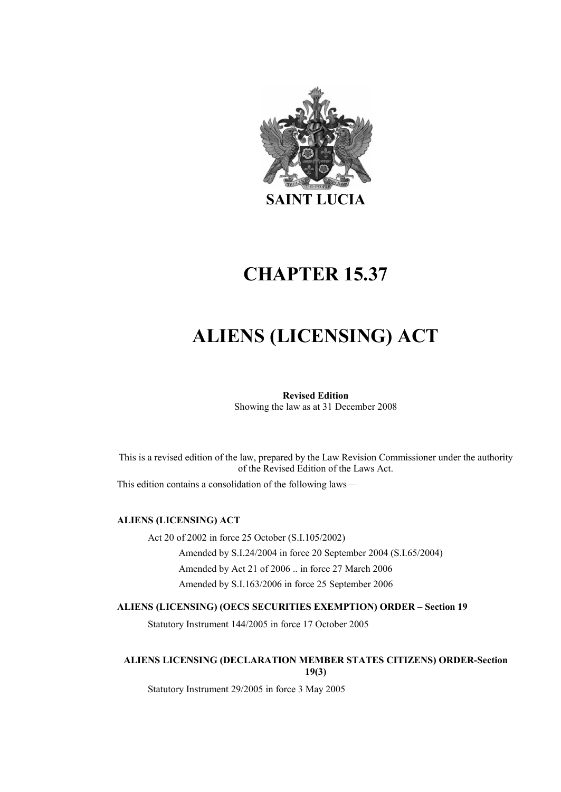

# CHAPTER 15.37

# ALIENS (LICENSING) ACT

## Revised Edition

Showing the law as at 31 December 2008

This is a revised edition of the law, prepared by the Law Revision Commissioner under the authority of the Revised Edition of the Laws Act.

This edition contains a consolidation of the following laws—

#### ALIENS (LICENSING) ACT

Act 20 of 2002 in force 25 October (S.I.105/2002) Amended by S.I.24/2004 in force 20 September 2004 (S.I.65/2004) Amended by Act 21 of 2006 .. in force 27 March 2006 Amended by S.I.163/2006 in force 25 September 2006

#### ALIENS (LICENSING) (OECS SECURITIES EXEMPTION) ORDER – Section 19

Statutory Instrument 144/2005 in force 17 October 2005

#### ALIENS LICENSING (DECLARATION MEMBER STATES CITIZENS) ORDER-Section 19(3)

Statutory Instrument 29/2005 in force 3 May 2005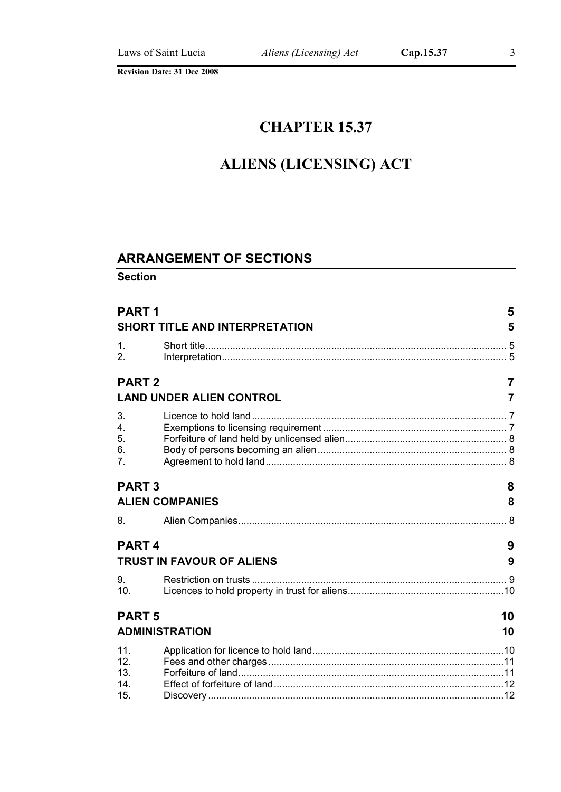## CHAPTER 15.37

# ALIENS (LICENSING) ACT

## ARRANGEMENT OF SECTIONS

Section

| <b>PART1</b>                                | SHORT TITLE AND INTERPRETATION   | 5<br>5 |
|---------------------------------------------|----------------------------------|--------|
| $\mathbf{1}$ .<br>2.                        |                                  |        |
| <b>PART 2</b>                               |                                  | 7      |
|                                             | <b>LAND UNDER ALIEN CONTROL</b>  | 7      |
| 3.<br>4.<br>5.<br>6.<br>7 <sub>1</sub>      |                                  |        |
| <b>PART3</b>                                |                                  | 8      |
|                                             | <b>ALIEN COMPANIES</b>           | 8      |
| 8.                                          |                                  |        |
| PART <sub>4</sub>                           |                                  | 9      |
|                                             | <b>TRUST IN FAVOUR OF ALIENS</b> | 9      |
| 9.<br>10.                                   |                                  |        |
| <b>PART 5</b>                               | 10                               |        |
|                                             | <b>ADMINISTRATION</b>            | 10     |
| 11.<br>12.<br>13.<br>14 <sub>1</sub><br>15. |                                  |        |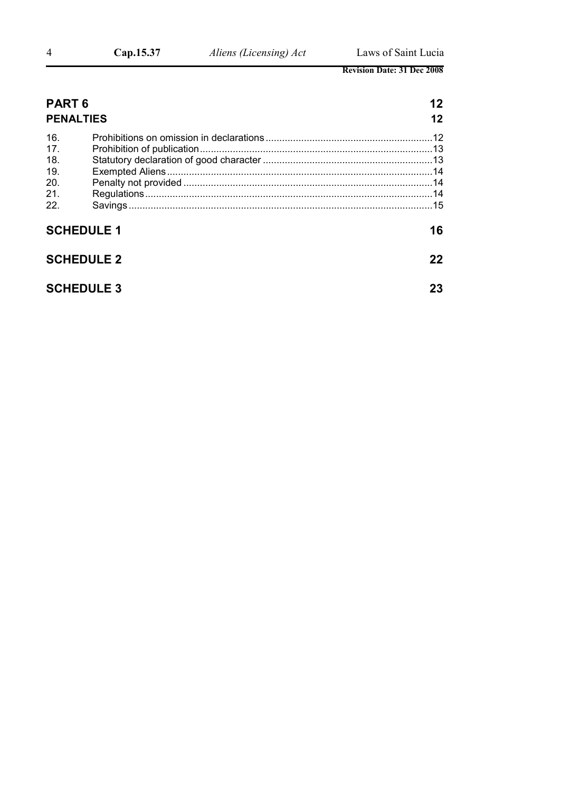| <b>PART 6</b><br><b>PENALTIES</b>                    |                   | 12<br>12 |
|------------------------------------------------------|-------------------|----------|
| 16.<br>17.<br>18.<br>19.<br><b>20.</b><br>21.<br>22. |                   |          |
|                                                      | <b>SCHEDULE 1</b> | 16       |
|                                                      | <b>SCHEDULE 2</b> | 22       |
|                                                      | <b>SCHEDULE 3</b> | 23       |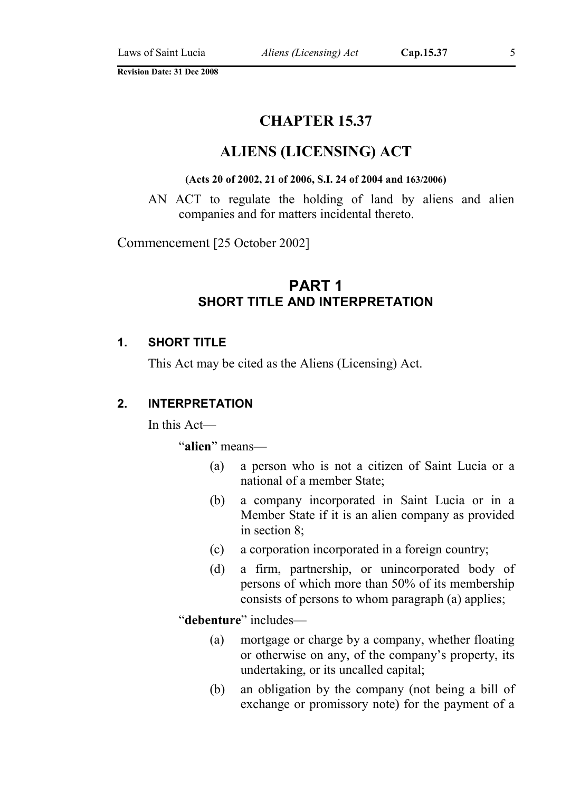## CHAPTER 15.37

## ALIENS (LICENSING) ACT

#### (Acts 20 of 2002, 21 of 2006, S.I. 24 of 2004 and 163/2006)

AN ACT to regulate the holding of land by aliens and alien companies and for matters incidental thereto.

Commencement [25 October 2002]

## PART 1 SHORT TITLE AND INTERPRETATION

#### 1. SHORT TITLE

This Act may be cited as the Aliens (Licensing) Act.

#### 2. INTERPRETATION

In this Act—

"alien" means—

- (a) a person who is not a citizen of Saint Lucia or a national of a member State;
- (b) a company incorporated in Saint Lucia or in a Member State if it is an alien company as provided in section 8;
- (c) a corporation incorporated in a foreign country;
- (d) a firm, partnership, or unincorporated body of persons of which more than 50% of its membership consists of persons to whom paragraph (a) applies;

"debenture" includes—

- (a) mortgage or charge by a company, whether floating or otherwise on any, of the company's property, its undertaking, or its uncalled capital;
- (b) an obligation by the company (not being a bill of exchange or promissory note) for the payment of a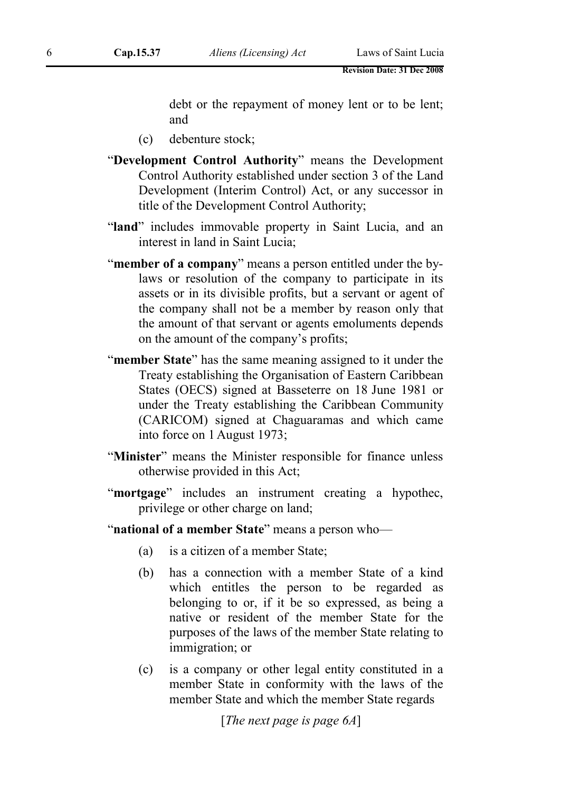debt or the repayment of money lent or to be lent; and

- (c) debenture stock;
- "Development Control Authority" means the Development Control Authority established under section 3 of the Land Development (Interim Control) Act, or any successor in title of the Development Control Authority;
- "land" includes immovable property in Saint Lucia, and an interest in land in Saint Lucia;
- "member of a company" means a person entitled under the bylaws or resolution of the company to participate in its assets or in its divisible profits, but a servant or agent of the company shall not be a member by reason only that the amount of that servant or agents emoluments depends on the amount of the company's profits;
- "member State" has the same meaning assigned to it under the Treaty establishing the Organisation of Eastern Caribbean States (OECS) signed at Basseterre on 18 June 1981 or under the Treaty establishing the Caribbean Community (CARICOM) signed at Chaguaramas and which came into force on 1August 1973;
- "Minister" means the Minister responsible for finance unless otherwise provided in this Act;
- "mortgage" includes an instrument creating a hypothec, privilege or other charge on land;
- "national of a member State" means a person who—
	- (a) is a citizen of a member State;
	- (b) has a connection with a member State of a kind which entitles the person to be regarded as belonging to or, if it be so expressed, as being a native or resident of the member State for the purposes of the laws of the member State relating to immigration; or
	- (c) is a company or other legal entity constituted in a member State in conformity with the laws of the member State and which the member State regards

[*The next page is page 6A*]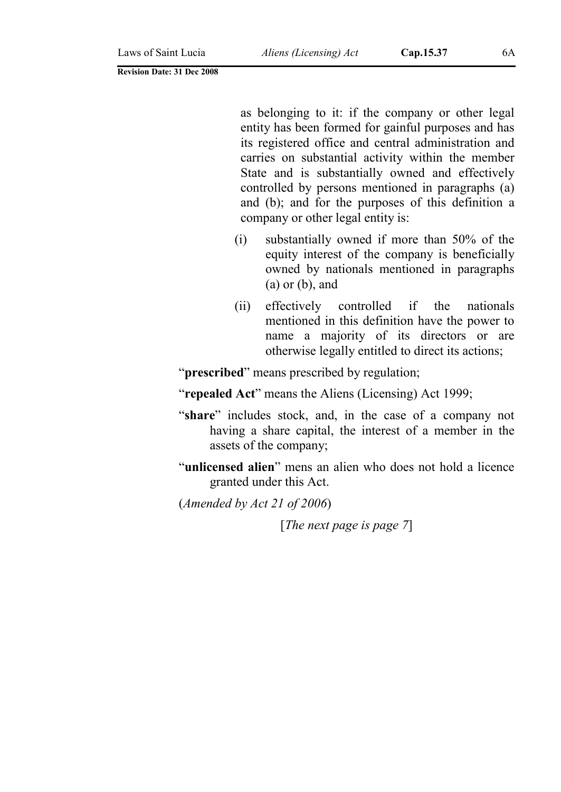as belonging to it: if the company or other legal entity has been formed for gainful purposes and has its registered office and central administration and carries on substantial activity within the member State and is substantially owned and effectively controlled by persons mentioned in paragraphs (a) and (b); and for the purposes of this definition a company or other legal entity is:

- (i) substantially owned if more than 50% of the equity interest of the company is beneficially owned by nationals mentioned in paragraphs  $(a)$  or  $(b)$ , and
- (ii) effectively controlled if the nationals mentioned in this definition have the power to name a majority of its directors or are otherwise legally entitled to direct its actions;

"**prescribed**" means prescribed by regulation;

"repealed Act" means the Aliens (Licensing) Act 1999;

- "share" includes stock, and, in the case of a company not having a share capital, the interest of a member in the assets of the company;
- "unlicensed alien" mens an alien who does not hold a licence granted under this Act.
- (*Amended by Act 21 of 2006*)

[*The next page is page 7*]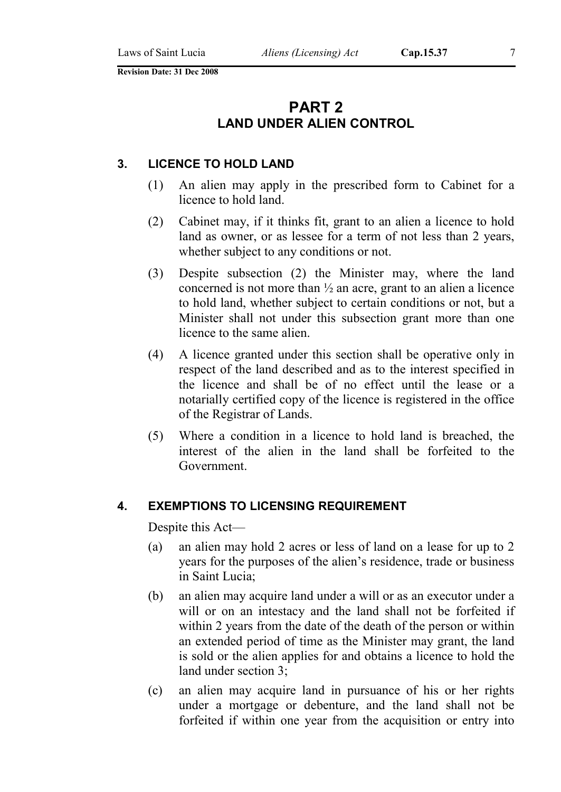## PART 2 LAND UNDER ALIEN CONTROL

#### 3. LICENCE TO HOLD LAND

- (1) An alien may apply in the prescribed form to Cabinet for a licence to hold land.
- (2) Cabinet may, if it thinks fit, grant to an alien a licence to hold land as owner, or as lessee for a term of not less than 2 years, whether subject to any conditions or not.
- (3) Despite subsection (2) the Minister may, where the land concerned is not more than ½ an acre, grant to an alien a licence to hold land, whether subject to certain conditions or not, but a Minister shall not under this subsection grant more than one licence to the same alien.
- (4) A licence granted under this section shall be operative only in respect of the land described and as to the interest specified in the licence and shall be of no effect until the lease or a notarially certified copy of the licence is registered in the office of the Registrar of Lands.
- (5) Where a condition in a licence to hold land is breached, the interest of the alien in the land shall be forfeited to the Government.

#### 4. EXEMPTIONS TO LICENSING REQUIREMENT

Despite this Act—

- (a) an alien may hold 2 acres or less of land on a lease for up to 2 years for the purposes of the alien's residence, trade or business in Saint Lucia;
- (b) an alien may acquire land under a will or as an executor under a will or on an intestacy and the land shall not be forfeited if within 2 years from the date of the death of the person or within an extended period of time as the Minister may grant, the land is sold or the alien applies for and obtains a licence to hold the land under section 3;
- (c) an alien may acquire land in pursuance of his or her rights under a mortgage or debenture, and the land shall not be forfeited if within one year from the acquisition or entry into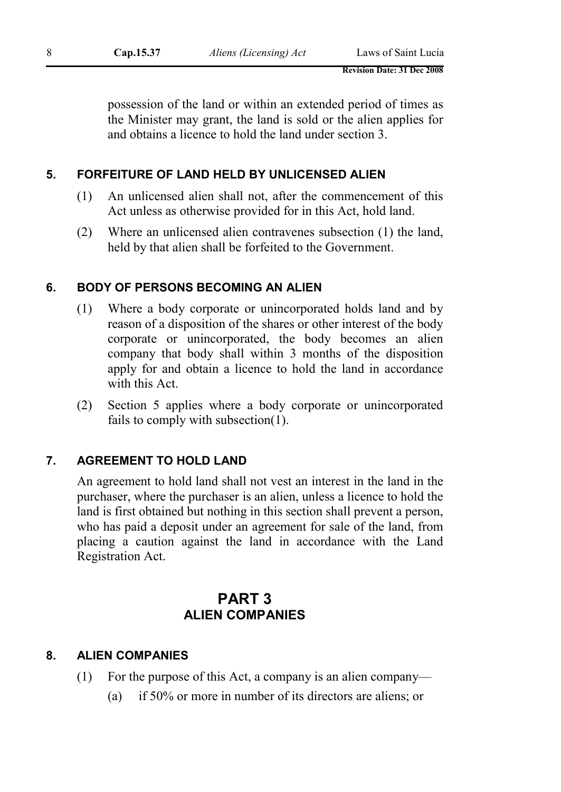possession of the land or within an extended period of times as the Minister may grant, the land is sold or the alien applies for and obtains a licence to hold the land under section 3.

## 5. FORFEITURE OF LAND HELD BY UNLICENSED ALIEN

- (1) An unlicensed alien shall not, after the commencement of this Act unless as otherwise provided for in this Act, hold land.
- (2) Where an unlicensed alien contravenes subsection (1) the land, held by that alien shall be forfeited to the Government.

#### 6. BODY OF PERSONS BECOMING AN ALIEN

- (1) Where a body corporate or unincorporated holds land and by reason of a disposition of the shares or other interest of the body corporate or unincorporated, the body becomes an alien company that body shall within 3 months of the disposition apply for and obtain a licence to hold the land in accordance with this Act.
- (2) Section 5 applies where a body corporate or unincorporated fails to comply with subsection(1).

## 7. AGREEMENT TO HOLD LAND

An agreement to hold land shall not vest an interest in the land in the purchaser, where the purchaser is an alien, unless a licence to hold the land is first obtained but nothing in this section shall prevent a person, who has paid a deposit under an agreement for sale of the land, from placing a caution against the land in accordance with the Land Registration Act.

## PART 3 ALIEN COMPANIES

#### 8. ALIEN COMPANIES

- (1) For the purpose of this Act, a company is an alien company—
	- (a) if 50% or more in number of its directors are aliens; or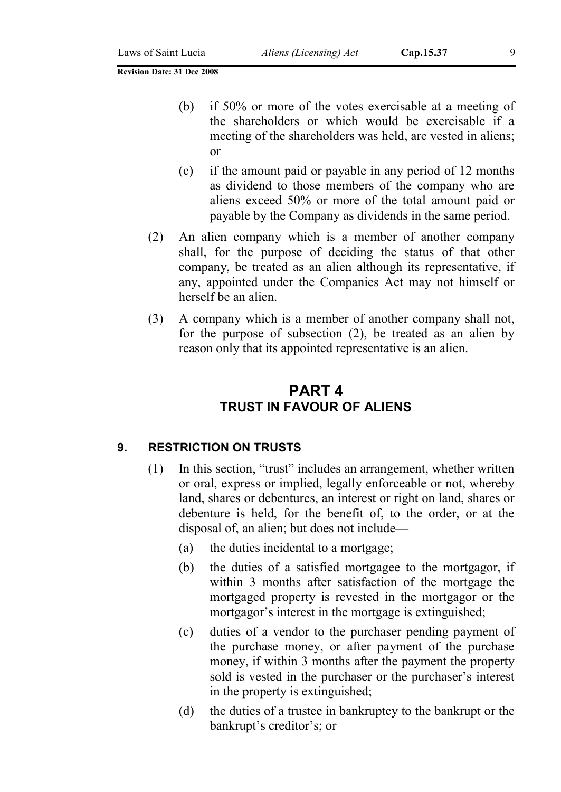- (b) if 50% or more of the votes exercisable at a meeting of the shareholders or which would be exercisable if a meeting of the shareholders was held, are vested in aliens; or
- (c) if the amount paid or payable in any period of 12 months as dividend to those members of the company who are aliens exceed 50% or more of the total amount paid or payable by the Company as dividends in the same period.
- (2) An alien company which is a member of another company shall, for the purpose of deciding the status of that other company, be treated as an alien although its representative, if any, appointed under the Companies Act may not himself or herself be an alien.
- (3) A company which is a member of another company shall not, for the purpose of subsection (2), be treated as an alien by reason only that its appointed representative is an alien.

## PART 4 TRUST IN FAVOUR OF ALIENS

#### 9. RESTRICTION ON TRUSTS

- (1) In this section, "trust" includes an arrangement, whether written or oral, express or implied, legally enforceable or not, whereby land, shares or debentures, an interest or right on land, shares or debenture is held, for the benefit of, to the order, or at the disposal of, an alien; but does not include—
	- (a) the duties incidental to a mortgage;
	- (b) the duties of a satisfied mortgagee to the mortgagor, if within 3 months after satisfaction of the mortgage the mortgaged property is revested in the mortgagor or the mortgagor's interest in the mortgage is extinguished;
	- (c) duties of a vendor to the purchaser pending payment of the purchase money, or after payment of the purchase money, if within 3 months after the payment the property sold is vested in the purchaser or the purchaser's interest in the property is extinguished;
	- (d) the duties of a trustee in bankruptcy to the bankrupt or the bankrupt's creditor's; or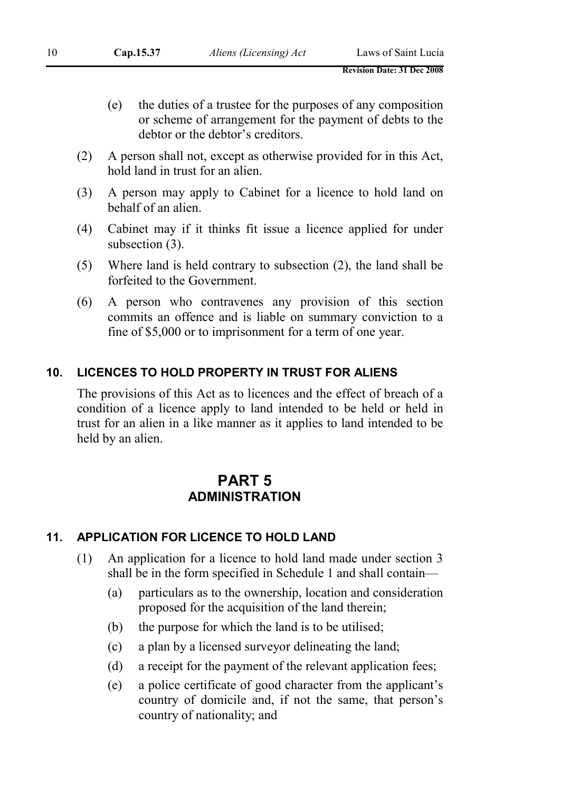- (e) the duties of a trustee for the purposes of any composition or scheme of arrangement for the payment of debts to the debtor or the debtor's creditors.
- (2) A person shall not, except as otherwise provided for in this Act, hold land in trust for an alien.
- (3) A person may apply to Cabinet for a licence to hold land on behalf of an alien.
- (4) Cabinet may if it thinks fit issue a licence applied for under subsection (3).
- (5) Where land is held contrary to subsection (2), the land shall be forfeited to the Government.
- (6) A person who contravenes any provision of this section commits an offence and is liable on summary conviction to a fine of \$5,000 or to imprisonment for a term of one year.

#### 10. LICENCES TO HOLD PROPERTY IN TRUST FOR ALIENS

The provisions of this Act as to licences and the effect of breach of a condition of a licence apply to land intended to be held or held in trust for an alien in a like manner as it applies to land intended to be held by an alien.

## PART 5 **ADMINISTRATION**

## 11. APPLICATION FOR LICENCE TO HOLD LAND

- (1) An application for a licence to hold land made under section 3 shall be in the form specified in Schedule 1 and shall contain—
	- (a) particulars as to the ownership, location and consideration proposed for the acquisition of the land therein;
	- (b) the purpose for which the land is to be utilised;
	- (c) a plan by a licensed surveyor delineating the land;
	- (d) a receipt for the payment of the relevant application fees;
	- (e) a police certificate of good character from the applicant's country of domicile and, if not the same, that person's country of nationality; and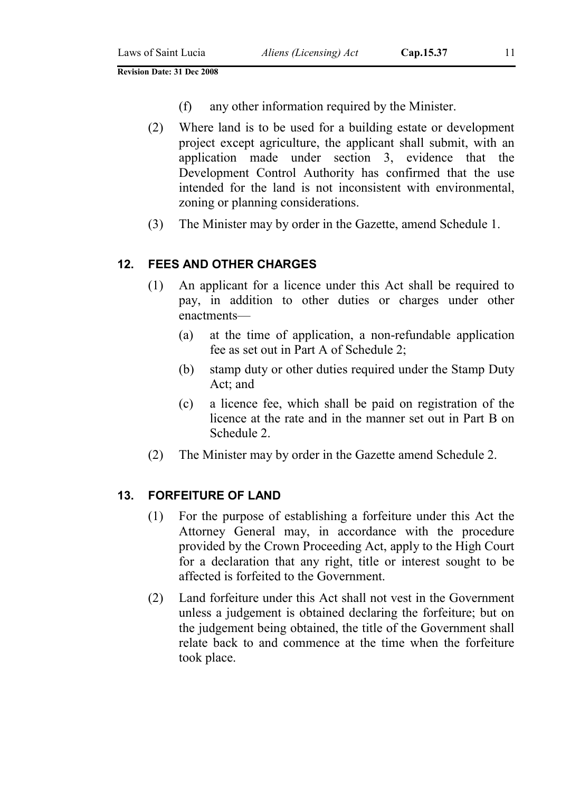- (f) any other information required by the Minister.
- (2) Where land is to be used for a building estate or development project except agriculture, the applicant shall submit, with an application made under section 3, evidence that the Development Control Authority has confirmed that the use intended for the land is not inconsistent with environmental, zoning or planning considerations.
- (3) The Minister may by order in the Gazette, amend Schedule 1.

#### 12. FEES AND OTHER CHARGES

- (1) An applicant for a licence under this Act shall be required to pay, in addition to other duties or charges under other enactments—
	- (a) at the time of application, a non-refundable application fee as set out in Part A of Schedule 2;
	- (b) stamp duty or other duties required under the Stamp Duty Act; and
	- (c) a licence fee, which shall be paid on registration of the licence at the rate and in the manner set out in Part B on Schedule 2.
- (2) The Minister may by order in the Gazette amend Schedule 2.

#### 13. FORFEITURE OF LAND

- (1) For the purpose of establishing a forfeiture under this Act the Attorney General may, in accordance with the procedure provided by the Crown Proceeding Act, apply to the High Court for a declaration that any right, title or interest sought to be affected is forfeited to the Government.
- (2) Land forfeiture under this Act shall not vest in the Government unless a judgement is obtained declaring the forfeiture; but on the judgement being obtained, the title of the Government shall relate back to and commence at the time when the forfeiture took place.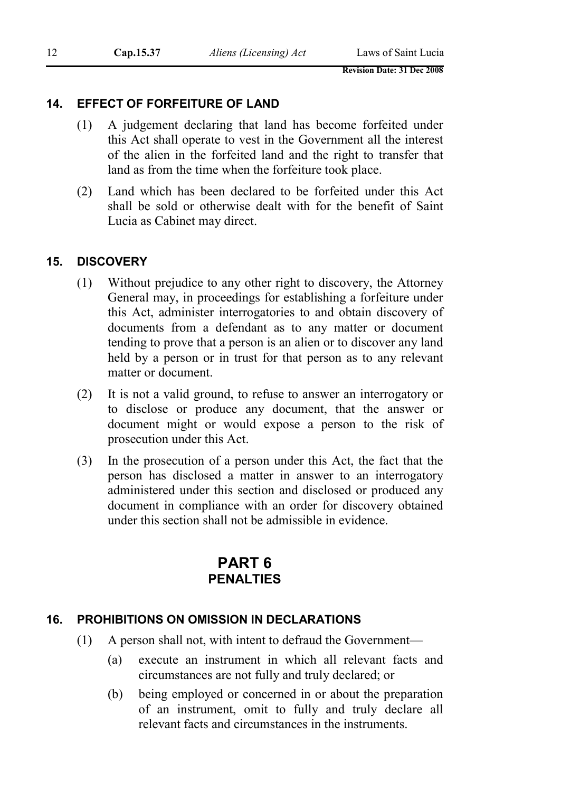#### 14. EFFECT OF FORFEITURE OF LAND

- (1) A judgement declaring that land has become forfeited under this Act shall operate to vest in the Government all the interest of the alien in the forfeited land and the right to transfer that land as from the time when the forfeiture took place.
- (2) Land which has been declared to be forfeited under this Act shall be sold or otherwise dealt with for the benefit of Saint Lucia as Cabinet may direct.

#### 15. DISCOVERY

- (1) Without prejudice to any other right to discovery, the Attorney General may, in proceedings for establishing a forfeiture under this Act, administer interrogatories to and obtain discovery of documents from a defendant as to any matter or document tending to prove that a person is an alien or to discover any land held by a person or in trust for that person as to any relevant matter or document.
- (2) It is not a valid ground, to refuse to answer an interrogatory or to disclose or produce any document, that the answer or document might or would expose a person to the risk of prosecution under this Act.
- (3) In the prosecution of a person under this Act, the fact that the person has disclosed a matter in answer to an interrogatory administered under this section and disclosed or produced any document in compliance with an order for discovery obtained under this section shall not be admissible in evidence.

## PART 6 **PENALTIES**

## 16. PROHIBITIONS ON OMISSION IN DECLARATIONS

- (1) A person shall not, with intent to defraud the Government—
	- (a) execute an instrument in which all relevant facts and circumstances are not fully and truly declared; or
	- (b) being employed or concerned in or about the preparation of an instrument, omit to fully and truly declare all relevant facts and circumstances in the instruments.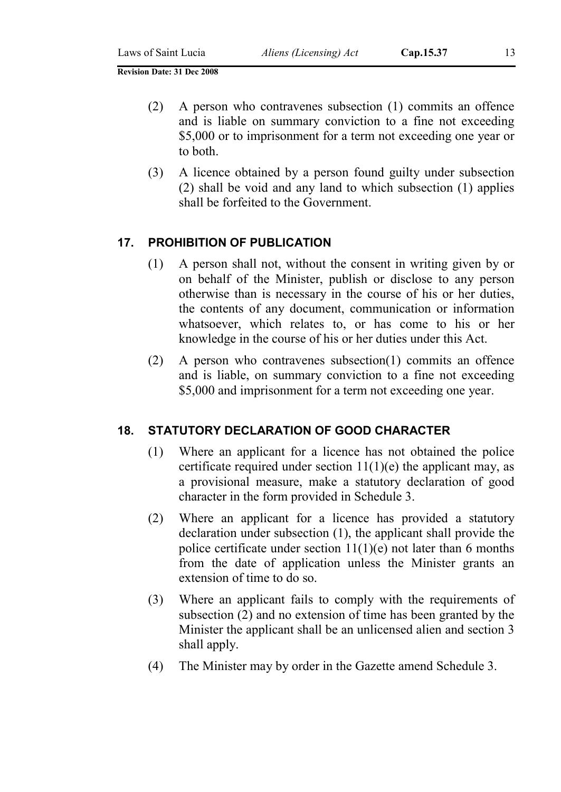- (2) A person who contravenes subsection (1) commits an offence and is liable on summary conviction to a fine not exceeding \$5,000 or to imprisonment for a term not exceeding one year or to both.
- (3) A licence obtained by a person found guilty under subsection (2) shall be void and any land to which subsection (1) applies shall be forfeited to the Government.

#### 17. PROHIBITION OF PUBLICATION

- (1) A person shall not, without the consent in writing given by or on behalf of the Minister, publish or disclose to any person otherwise than is necessary in the course of his or her duties, the contents of any document, communication or information whatsoever, which relates to, or has come to his or her knowledge in the course of his or her duties under this Act.
- (2) A person who contravenes subsection(1) commits an offence and is liable, on summary conviction to a fine not exceeding \$5,000 and imprisonment for a term not exceeding one year.

#### 18. STATUTORY DECLARATION OF GOOD CHARACTER

- (1) Where an applicant for a licence has not obtained the police certificate required under section  $11(1)(e)$  the applicant may, as a provisional measure, make a statutory declaration of good character in the form provided in Schedule 3.
- (2) Where an applicant for a licence has provided a statutory declaration under subsection (1), the applicant shall provide the police certificate under section  $11(1)(e)$  not later than 6 months from the date of application unless the Minister grants an extension of time to do so.
- (3) Where an applicant fails to comply with the requirements of subsection (2) and no extension of time has been granted by the Minister the applicant shall be an unlicensed alien and section 3 shall apply.
- (4) The Minister may by order in the Gazette amend Schedule 3.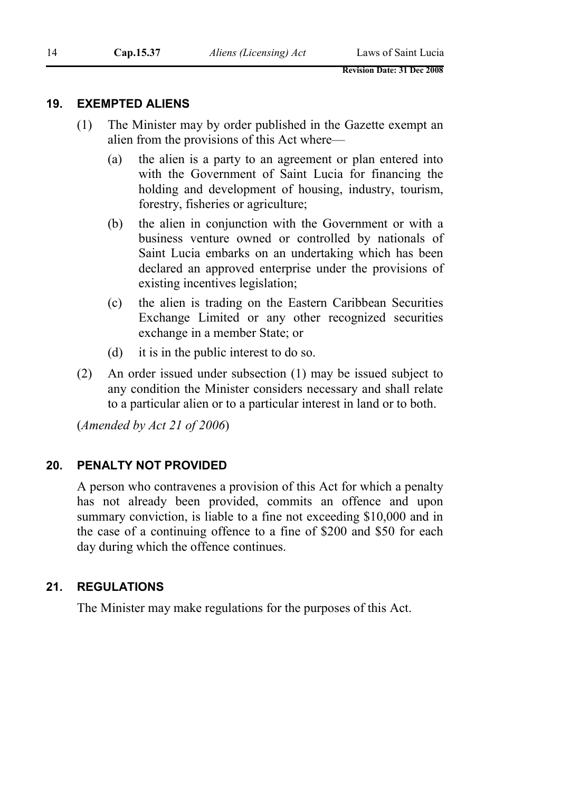#### 19. EXEMPTED ALIENS

- (1) The Minister may by order published in the Gazette exempt an alien from the provisions of this Act where—
	- (a) the alien is a party to an agreement or plan entered into with the Government of Saint Lucia for financing the holding and development of housing, industry, tourism, forestry, fisheries or agriculture;
	- (b) the alien in conjunction with the Government or with a business venture owned or controlled by nationals of Saint Lucia embarks on an undertaking which has been declared an approved enterprise under the provisions of existing incentives legislation;
	- (c) the alien is trading on the Eastern Caribbean Securities Exchange Limited or any other recognized securities exchange in a member State; or
	- (d) it is in the public interest to do so.
- (2) An order issued under subsection (1) may be issued subject to any condition the Minister considers necessary and shall relate to a particular alien or to a particular interest in land or to both.

(*Amended by Act 21 of 2006*)

#### 20. PENALTY NOT PROVIDED

A person who contravenes a provision of this Act for which a penalty has not already been provided, commits an offence and upon summary conviction, is liable to a fine not exceeding \$10,000 and in the case of a continuing offence to a fine of \$200 and \$50 for each day during which the offence continues.

#### 21. REGULATIONS

The Minister may make regulations for the purposes of this Act.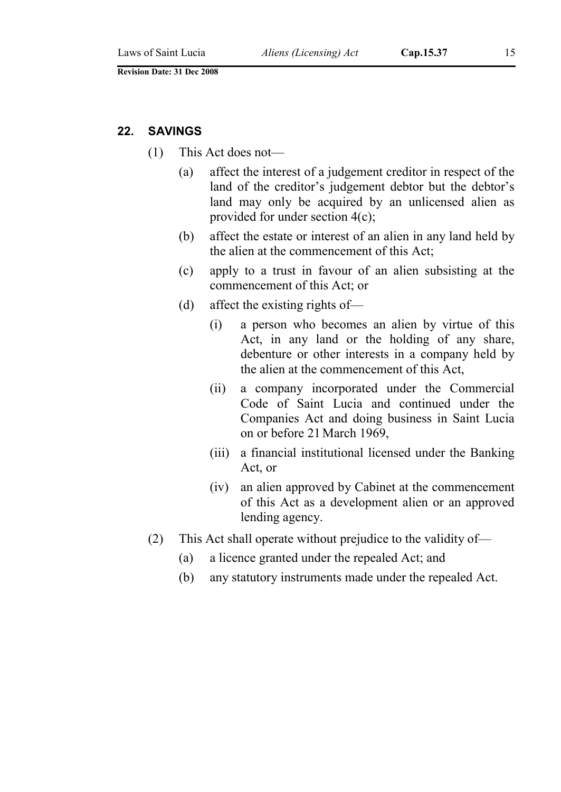## 22. SAVINGS

- (1) This Act does not—
	- (a) affect the interest of a judgement creditor in respect of the land of the creditor's judgement debtor but the debtor's land may only be acquired by an unlicensed alien as provided for under section 4(c);
	- (b) affect the estate or interest of an alien in any land held by the alien at the commencement of this Act;
	- (c) apply to a trust in favour of an alien subsisting at the commencement of this Act; or
	- (d) affect the existing rights of—
		- (i) a person who becomes an alien by virtue of this Act, in any land or the holding of any share, debenture or other interests in a company held by the alien at the commencement of this Act,
		- (ii) a company incorporated under the Commercial Code of Saint Lucia and continued under the Companies Act and doing business in Saint Lucia on or before 21March 1969,
		- (iii) a financial institutional licensed under the Banking Act, or
		- (iv) an alien approved by Cabinet at the commencement of this Act as a development alien or an approved lending agency.
- (2) This Act shall operate without prejudice to the validity of—
	- (a) a licence granted under the repealed Act; and
	- (b) any statutory instruments made under the repealed Act.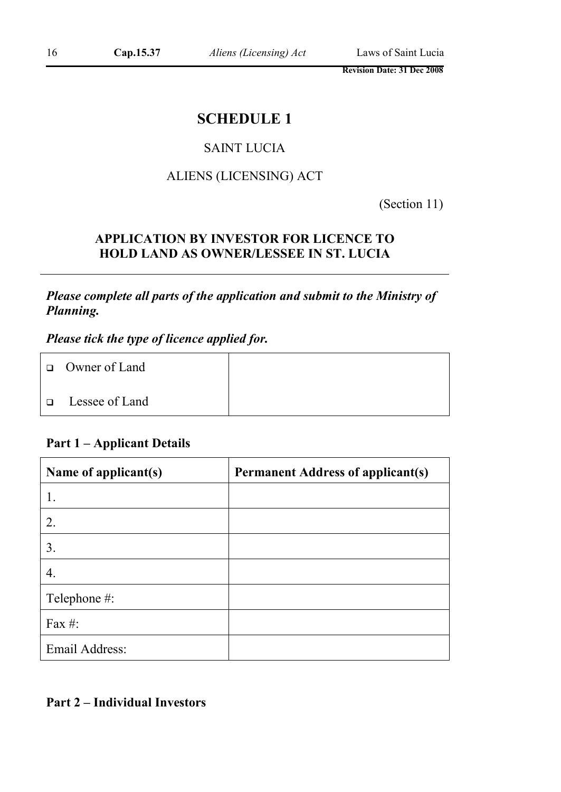## SCHEDULE 1

## SAINT LUCIA

## ALIENS (LICENSING) ACT

(Section 11)

## APPLICATION BY INVESTOR FOR LICENCE TO HOLD LAND AS OWNER/LESSEE IN ST. LUCIA

*Please complete all parts of the application and submit to the Ministry of Planning.*

*Please tick the type of licence applied for.*

| $\Box$ Owner of Land |  |
|----------------------|--|
| □ Lessee of Land     |  |

## Part 1 – Applicant Details

| Name of applicant(s) | <b>Permanent Address of applicant(s)</b> |
|----------------------|------------------------------------------|
|                      |                                          |
| 2.                   |                                          |
| 3.                   |                                          |
| 4.                   |                                          |
| Telephone #:         |                                          |
| Fax #:               |                                          |
| Email Address:       |                                          |

## Part 2 – Individual Investors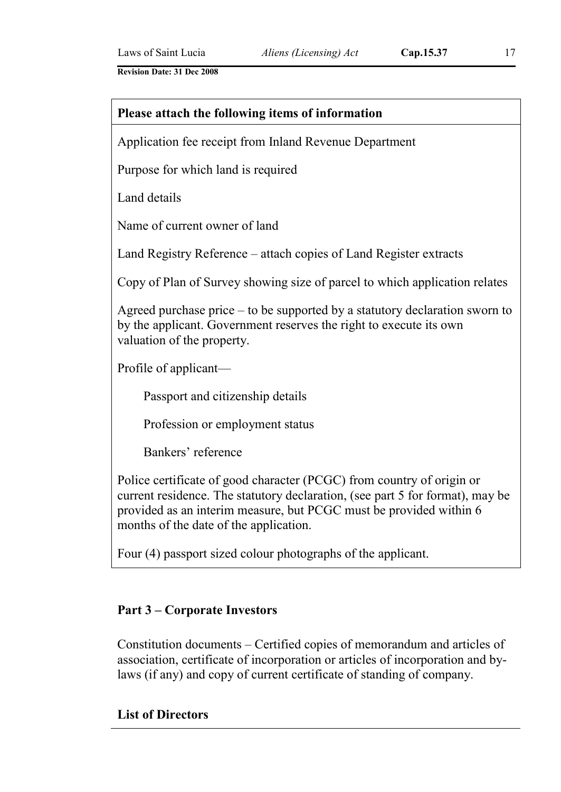# Please attach the following items of information Application fee receipt from Inland Revenue Department Purpose for which land is required Land details Name of current owner of land Land Registry Reference – attach copies of Land Register extracts Copy of Plan of Survey showing size of parcel to which application relates Agreed purchase price – to be supported by a statutory declaration sworn to by the applicant. Government reserves the right to execute its own valuation of the property. Profile of applicant— Passport and citizenship details Profession or employment status Bankers' reference

Police certificate of good character (PCGC) from country of origin or current residence. The statutory declaration, (see part 5 for format), may be provided as an interim measure, but PCGC must be provided within 6 months of the date of the application.

Four (4) passport sized colour photographs of the applicant.

## Part 3 – Corporate Investors

Constitution documents – Certified copies of memorandum and articles of association, certificate of incorporation or articles of incorporation and bylaws (if any) and copy of current certificate of standing of company.

## List of Directors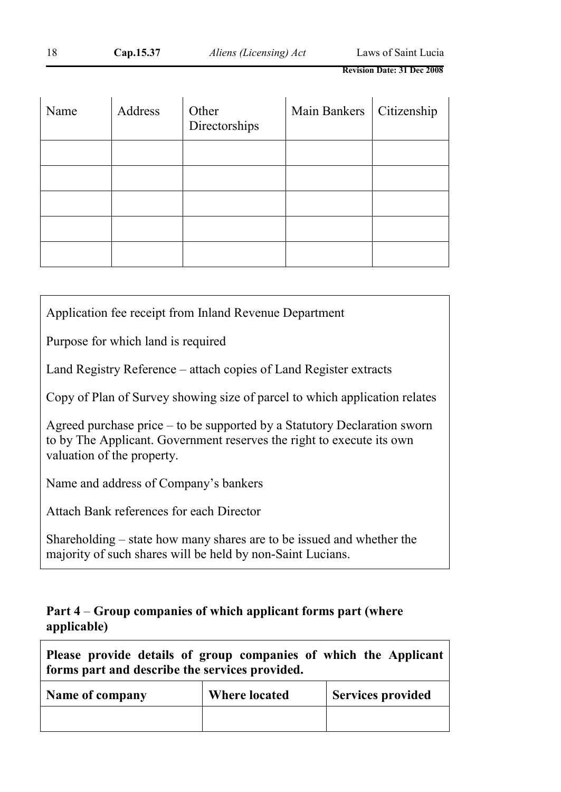| Name | Address | Other<br>Directorships | Main Bankers   Citizenship |  |
|------|---------|------------------------|----------------------------|--|
|      |         |                        |                            |  |
|      |         |                        |                            |  |
|      |         |                        |                            |  |
|      |         |                        |                            |  |
|      |         |                        |                            |  |

Application fee receipt from Inland Revenue Department

Purpose for which land is required

Land Registry Reference – attach copies of Land Register extracts

Copy of Plan of Survey showing size of parcel to which application relates

Agreed purchase price – to be supported by a Statutory Declaration sworn to by The Applicant. Government reserves the right to execute its own valuation of the property.

Name and address of Company's bankers

Attach Bank references for each Director

Shareholding – state how many shares are to be issued and whether the majority of such shares will be held by non-Saint Lucians.

## Part 4 – Group companies of which applicant forms part (where applicable)

| Please provide details of group companies of which the Applicant<br>forms part and describe the services provided. |                      |                          |  |  |
|--------------------------------------------------------------------------------------------------------------------|----------------------|--------------------------|--|--|
| Name of company                                                                                                    | <b>Where located</b> | <b>Services provided</b> |  |  |
|                                                                                                                    |                      |                          |  |  |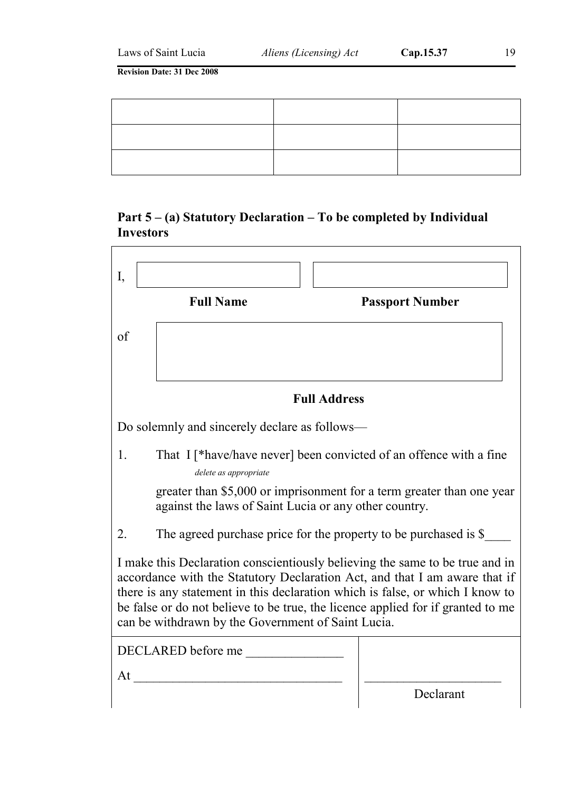## Part 5 – (a) Statutory Declaration – To be completed by Individual Investors

| I,                                                                                                                                                                                                                                                                                                                                                                                   |                                                                                             |                     |                                                                       |  |
|--------------------------------------------------------------------------------------------------------------------------------------------------------------------------------------------------------------------------------------------------------------------------------------------------------------------------------------------------------------------------------------|---------------------------------------------------------------------------------------------|---------------------|-----------------------------------------------------------------------|--|
|                                                                                                                                                                                                                                                                                                                                                                                      | <b>Full Name</b>                                                                            |                     | <b>Passport Number</b>                                                |  |
| of                                                                                                                                                                                                                                                                                                                                                                                   |                                                                                             |                     |                                                                       |  |
|                                                                                                                                                                                                                                                                                                                                                                                      |                                                                                             |                     |                                                                       |  |
|                                                                                                                                                                                                                                                                                                                                                                                      |                                                                                             | <b>Full Address</b> |                                                                       |  |
|                                                                                                                                                                                                                                                                                                                                                                                      | Do solemnly and sincerely declare as follows—                                               |                     |                                                                       |  |
| 1.                                                                                                                                                                                                                                                                                                                                                                                   | That I [*have/have never] been convicted of an offence with a fine<br>delete as appropriate |                     |                                                                       |  |
|                                                                                                                                                                                                                                                                                                                                                                                      | against the laws of Saint Lucia or any other country.                                       |                     | greater than \$5,000 or imprisonment for a term greater than one year |  |
| 2.                                                                                                                                                                                                                                                                                                                                                                                   | The agreed purchase price for the property to be purchased is \$                            |                     |                                                                       |  |
| I make this Declaration conscientiously believing the same to be true and in<br>accordance with the Statutory Declaration Act, and that I am aware that if<br>there is any statement in this declaration which is false, or which I know to<br>be false or do not believe to be true, the licence applied for if granted to me<br>can be withdrawn by the Government of Saint Lucia. |                                                                                             |                     |                                                                       |  |
|                                                                                                                                                                                                                                                                                                                                                                                      | DECLARED before me                                                                          |                     |                                                                       |  |
| At                                                                                                                                                                                                                                                                                                                                                                                   |                                                                                             |                     |                                                                       |  |
|                                                                                                                                                                                                                                                                                                                                                                                      |                                                                                             |                     | Declarant                                                             |  |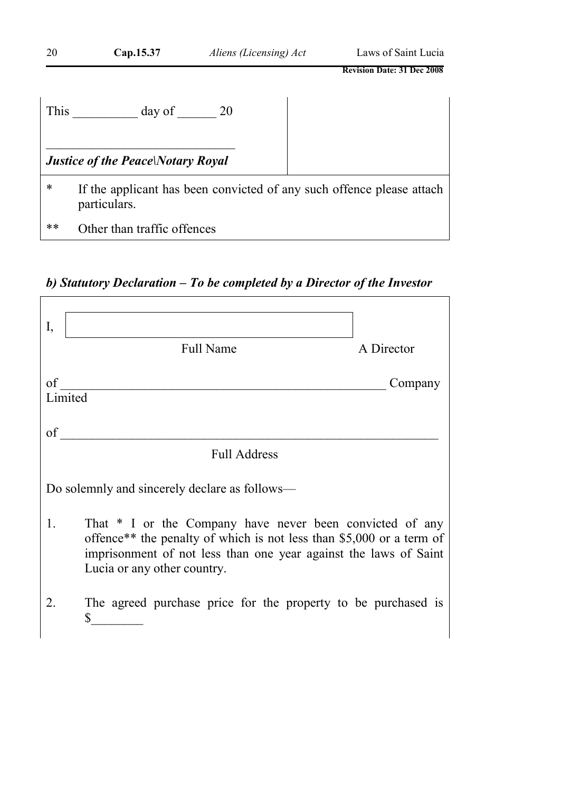| 20   | Cap.15.37                                | Aliens (Licensing) Act                                                | Laws of Saint Lucia               |
|------|------------------------------------------|-----------------------------------------------------------------------|-----------------------------------|
|      |                                          |                                                                       | <b>Revision Date: 31 Dec 2008</b> |
| This | day of                                   | 20                                                                    |                                   |
|      | <b>Justice of the Peace Notary Royal</b> |                                                                       |                                   |
| *    | particulars.                             | If the applicant has been convicted of any such offence please attach |                                   |
| **   | Other than traffic offences              |                                                                       |                                   |

*b) Statutory Declaration – To be completed by a Director of the Investor*

| I, |                                                                                                                                                                                                                                     |            |
|----|-------------------------------------------------------------------------------------------------------------------------------------------------------------------------------------------------------------------------------------|------------|
|    | <b>Full Name</b>                                                                                                                                                                                                                    | A Director |
| of |                                                                                                                                                                                                                                     | Company    |
|    | Limited                                                                                                                                                                                                                             |            |
| of |                                                                                                                                                                                                                                     |            |
|    | <b>Full Address</b>                                                                                                                                                                                                                 |            |
|    | Do solemnly and sincerely declare as follows—                                                                                                                                                                                       |            |
| 1. | That * I or the Company have never been convicted of any<br>offence** the penalty of which is not less than \$5,000 or a term of<br>imprisonment of not less than one year against the laws of Saint<br>Lucia or any other country. |            |
|    | The agreed purchase price for the property to be purchased is                                                                                                                                                                       |            |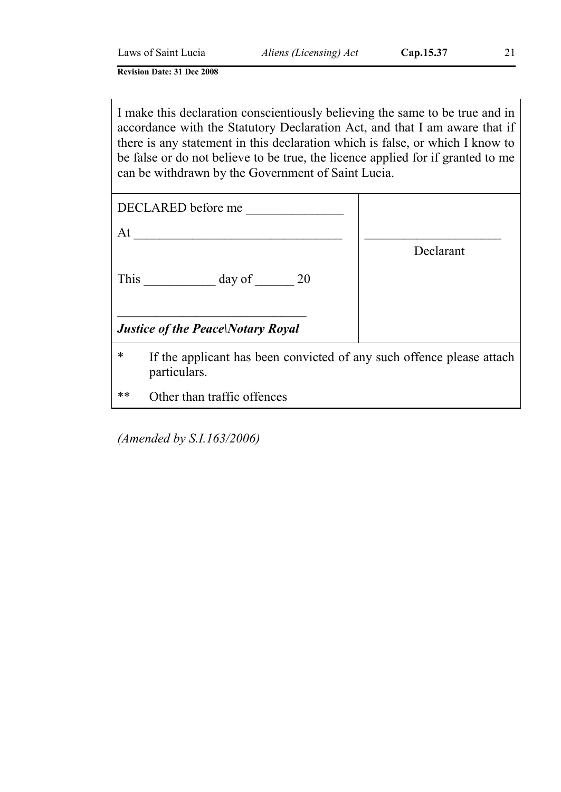I make this declaration conscientiously believing the same to be true and in accordance with the Statutory Declaration Act, and that I am aware that if there is any statement in this declaration which is false, or which I know to be false or do not believe to be true, the licence applied for if granted to me can be withdrawn by the Government of Saint Lucia.

| DECLARED before me                                                                         |           |
|--------------------------------------------------------------------------------------------|-----------|
| At                                                                                         |           |
|                                                                                            | Declarant |
| This day of 20                                                                             |           |
| <b>Justice of the Peace Notary Royal</b>                                                   |           |
| *<br>If the applicant has been convicted of any such offence please attach<br>particulars. |           |
| $**$<br>Other than traffic offences                                                        |           |

*(Amended by S.I.163/2006)*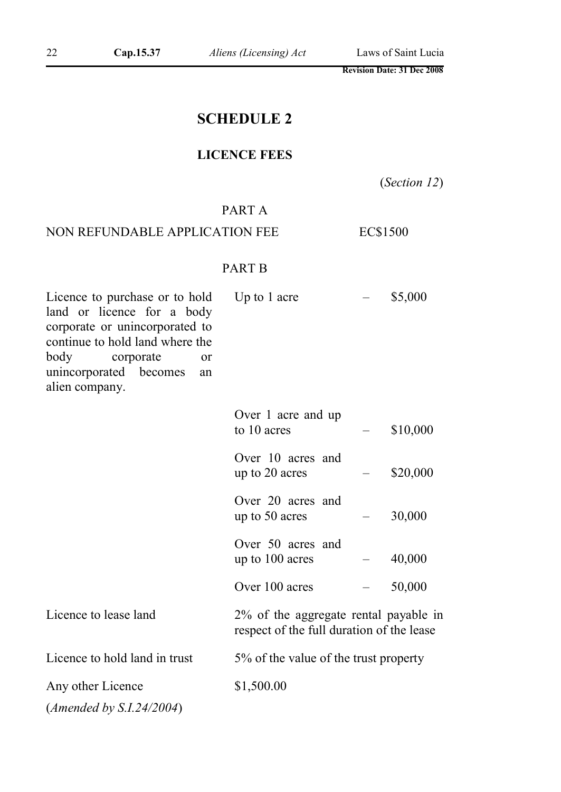## SCHEDULE 2

## LICENCE FEES

(*Section 12*)

## PART A

## NON REFUNDABLE APPLICATION FEE EC\$1500

## PART B

| Licence to purchase or to hold<br>land or licence for a body<br>corporate or unincorporated to<br>continue to hold land where the<br>body<br>corporate<br>or<br>unincorporated becomes<br>an<br>alien company. | Up to 1 acre                                                                       | \$5,000  |
|----------------------------------------------------------------------------------------------------------------------------------------------------------------------------------------------------------------|------------------------------------------------------------------------------------|----------|
|                                                                                                                                                                                                                | Over 1 acre and up<br>to 10 acres                                                  | \$10,000 |
|                                                                                                                                                                                                                | Over 10 acres and<br>up to 20 acres                                                | \$20,000 |
|                                                                                                                                                                                                                | Over 20 acres and<br>up to 50 acres                                                | 30,000   |
|                                                                                                                                                                                                                | Over 50 acres and<br>up to 100 acres                                               | 40,000   |
|                                                                                                                                                                                                                | Over 100 acres                                                                     | 50,000   |
| Licence to lease land                                                                                                                                                                                          | 2% of the aggregate rental payable in<br>respect of the full duration of the lease |          |
| Licence to hold land in trust                                                                                                                                                                                  | 5% of the value of the trust property                                              |          |
| Any other Licence                                                                                                                                                                                              | \$1,500.00                                                                         |          |
| ( <i>Amended by S.I.24/2004</i> )                                                                                                                                                                              |                                                                                    |          |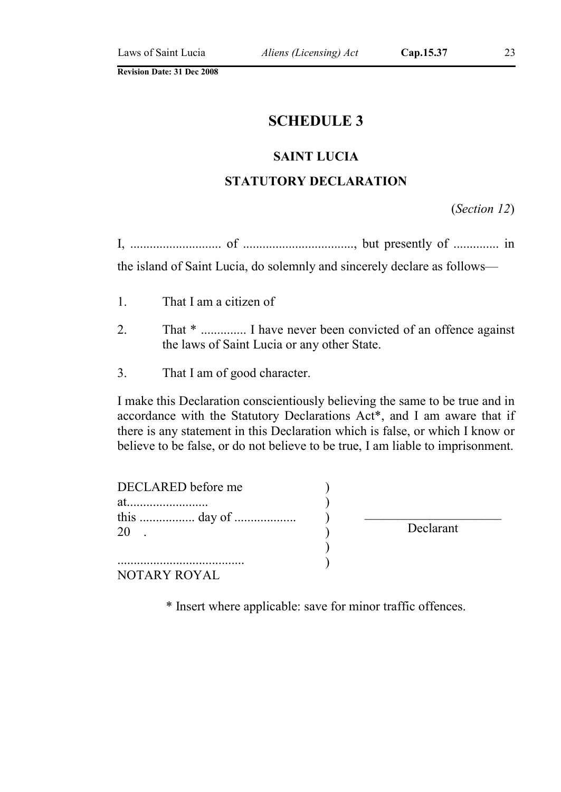## SCHEDULE 3

#### SAINT LUCIA

## STATUTORY DECLARATION

(*Section 12*)

|  | ., Ul  115 |
|--|------------|
|--|------------|

the island of Saint Lucia, do solemnly and sincerely declare as follows—

- 1. That I am a citizen of
- 2. That  $*$  ............... I have never been convicted of an offence against the laws of Saint Lucia or any other State.
- 3. That I am of good character.

I make this Declaration conscientiously believing the same to be true and in accordance with the Statutory Declarations Act\*, and I am aware that if there is any statement in this Declaration which is false, or which I know or believe to be false, or do not believe to be true, I am liable to imprisonment.

| DECLARED before me |           |
|--------------------|-----------|
| at.                |           |
| 20                 | Declarant |
|                    |           |
| NOTARY ROYAL       |           |

\* Insert where applicable: save for minor traffic offences.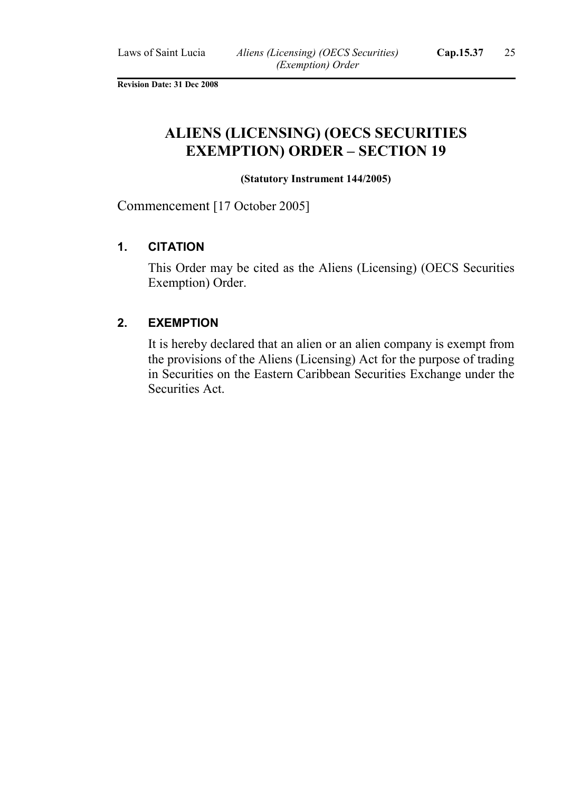## ALIENS (LICENSING) (OECS SECURITIES EXEMPTION) ORDER – SECTION 19

#### (Statutory Instrument 144/2005)

Commencement [17 October 2005]

#### 1. CITATION

This Order may be cited as the Aliens (Licensing) (OECS Securities Exemption) Order.

#### 2. EXEMPTION

It is hereby declared that an alien or an alien company is exempt from the provisions of the Aliens (Licensing) Act for the purpose of trading in Securities on the Eastern Caribbean Securities Exchange under the Securities Act.